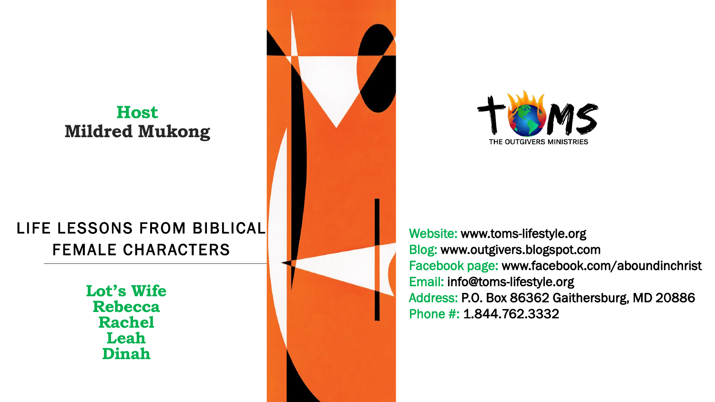## **Host Mildred Mukong**

# LIFE LESSONS FROM BIBLICAL FEMALE CHARACTERS

**Lot's Wife Rebecca Rachel Leah Dinah**





Website: www.toms-lifestyle.org Blog: www.outgivers.blogspot.com Facebook page: www.facebook.com/aboundinchrist Email: info@toms-lifestyle.org Address: P.O. Box 86362 Gaithersburg, MD 20886 Phone #: 1.844.762.3332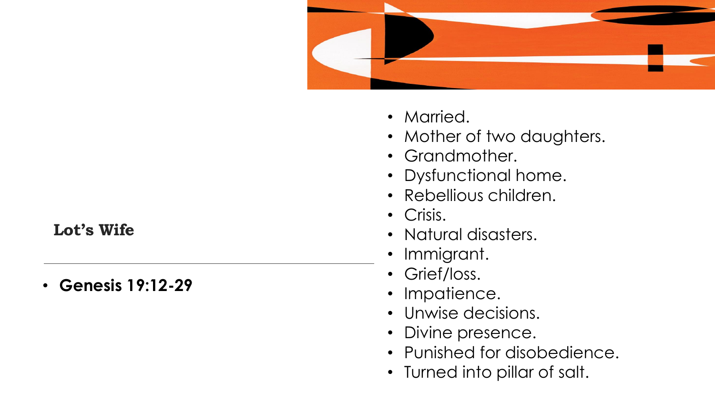

- Married.
- Mother of two daughters.
- Grandmother.
- Dysfunctional home.
- Rebellious children.
- Crisis.
- Natural disasters.
- Immigrant.
- Grief/loss.
- Impatience.
- Unwise decisions.
- Divine presence.
- Punished for disobedience.
- Turned into pillar of salt.

## **Lot's Wife**

• **Genesis 19:12 -29**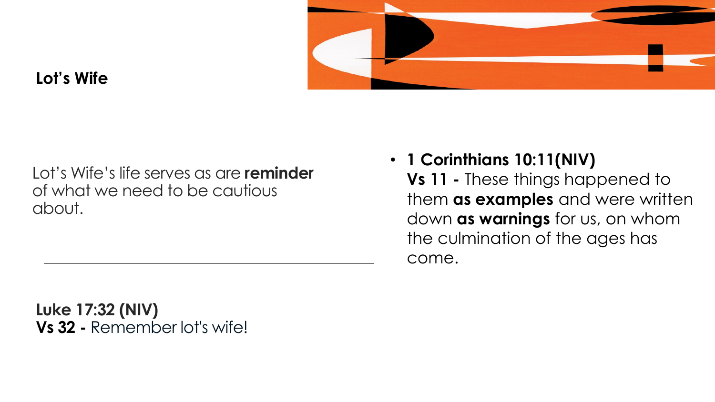

## **Lot's Wife**

Lot's Wife's life serves as are **reminder** of what we need to be cautious about.

• **1 Corinthians 10:11(NIV)**

**Vs 11 -** These things happened to them **as examples** and were written down **as warnings** for us, on whom the culmination of the ages has come.

**Luke 17:32 (NIV) Vs 32 -** Remember lot's wife!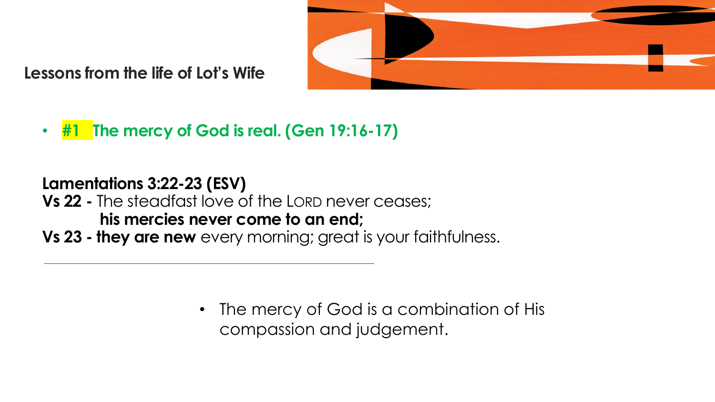

• **#1 The mercy of God is real. (Gen 19:16-17)**

# **Lamentations 3:22-23 (ESV) Vs 22 -** The steadfast love of the LORD never ceases; **his mercies never come to an end;**

**Vs 23 - they are new** every morning; great is your faithfulness.

The mercy of God is a combination of His compassion and judgement.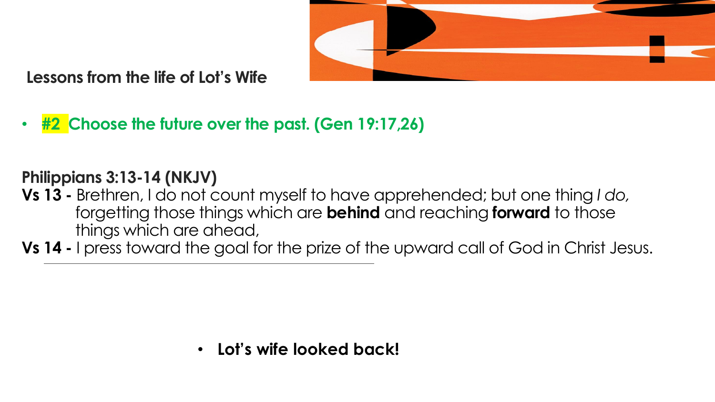

• **#2 Choose the future over the past. (Gen 19:17,26)**

# **Philippians 3:13-14 (NKJV)**

- **Vs 13 -** Brethren, I do not count myself to have apprehended; but one thing *I do,* forgetting those things which are **behind** and reaching **forward** to those things which are ahead,
- **Vs 14 -** I press toward the goal for the prize of the upward call of God in Christ Jesus.

• **Lot's wife looked back!**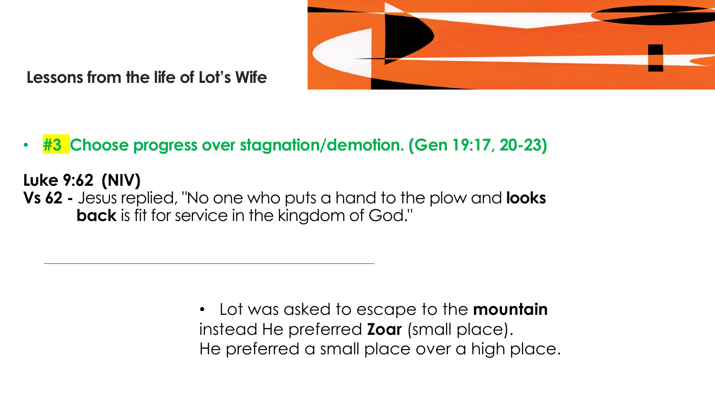

• **#3 Choose progress over stagnation/demotion. (Gen 19:17, 20-23)**

**Luke 9:62 (NIV) Vs 62 -** Jesus replied, "No one who puts a hand to the plow and **looks back** is fit for service in the kingdom of God."

> • Lot was asked to escape to the **mountain** instead He preferred **Zoar** (small place). He preferred a small place over a high place.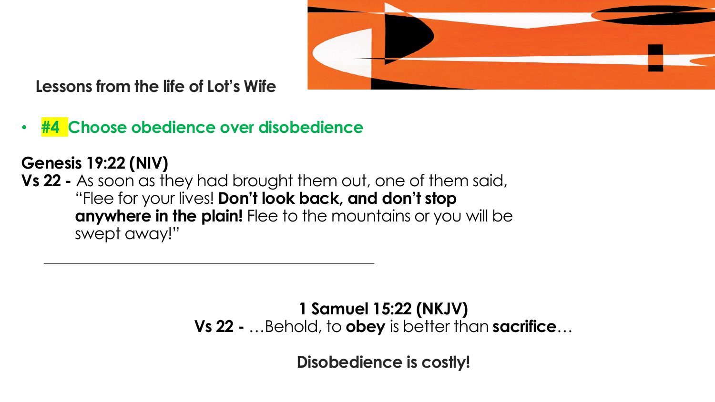

• **#4 Choose obedience over disobedience**

## **Genesis 19:22 (NIV)**

**Vs 22 -** As soon as they had brought them out, one of them said, "Flee for your lives! **Don't look back, and don't stop anywhere in the plain!** Flee to the mountains or you will be swept away!"

**1 Samuel 15:22 (NKJV)**

**Vs 22 -** …Behold, to **obey** is better than **sacrifice**…

**Disobedience is costly!**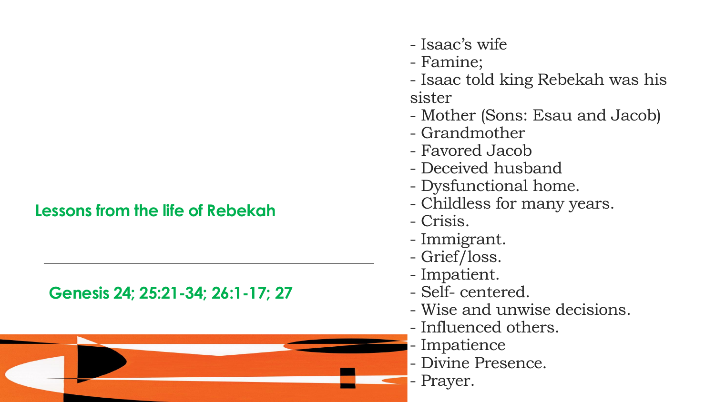### **Lessons from the life of Rebekah**

#### **Genesis 24; 25:21-34; 26:1-17; 27**



- Isaac's wife
- Famine;
- Isaac told king Rebekah was his sister
- Mother (Sons: Esau and Jacob)
- Grandmother
- Favored Jacob
- Deceived husband
- Dysfunctional home.
- Childless for many years.
- Crisis.
- Immigrant.
- Grief/loss.
- Impatient.
- Self- centered.
- Wise and unwise decisions.
- Influenced others.
- Impatience
- Divine Presence.
- Prayer.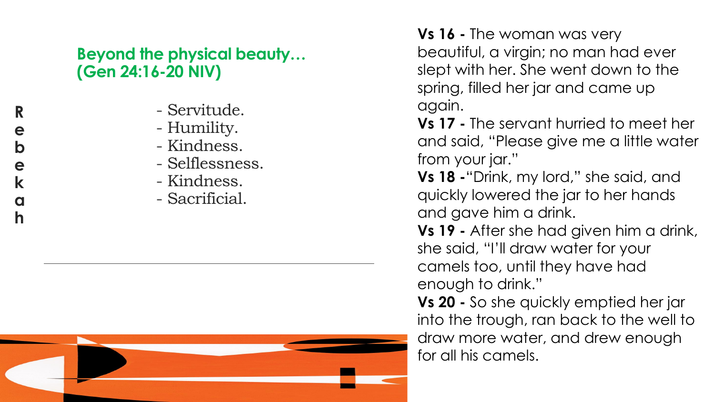## **Beyond the physical beauty… (Gen 24:16 -20 NIV)**

- Servitude.
- Humility.
- Kindness.
- Selflessness.
- Kindness.
- Sacrificial.



**Vs 16 -** The woman was very beautiful, a virgin; no man had ever slept with her. She went down to the spring, filled her jar and came up again.

**Vs 17 -** The servant hurried to meet her and said, "Please give me a little water from your jar."

**Vs 18 -**"Drink, my lord," she said, and quickly lowered the jar to her hands and gave him a drink.

**Vs 19 -** After she had given him a drink, she said, "I'll draw water for your camels too, until they have had enough to drink."

**Vs 20 -** So she quickly emptied her jar into the trough, ran back to the well to draw more water, and drew enough for all his camels.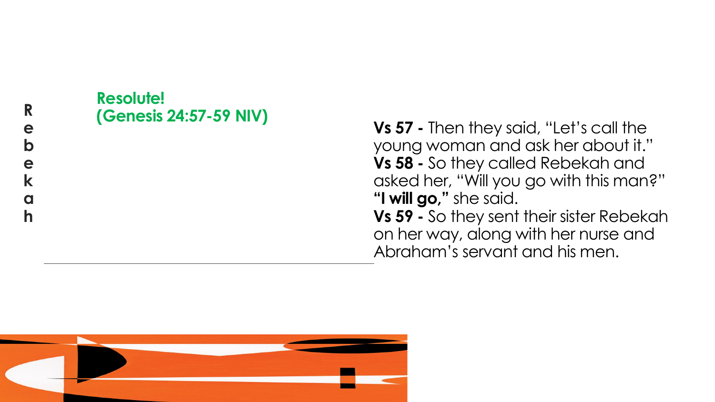#### **Rebekah** R e  $\mathbf b$ e  $\mathbf k$  $\mathbf 0$  $\mathbf h$

# **Resolute! (Genesis 24:57 -59 NIV)**

**Vs 57 -** Then they said, "Let's call the young woman and ask her about it." **Vs 58 -** So they called Rebekah and asked her, "Will you go with this man?" **"I will go,"** she said. **Vs 59 -** So they sent their sister Rebekah on her way, along with her nurse and Abraham's servant and his men.

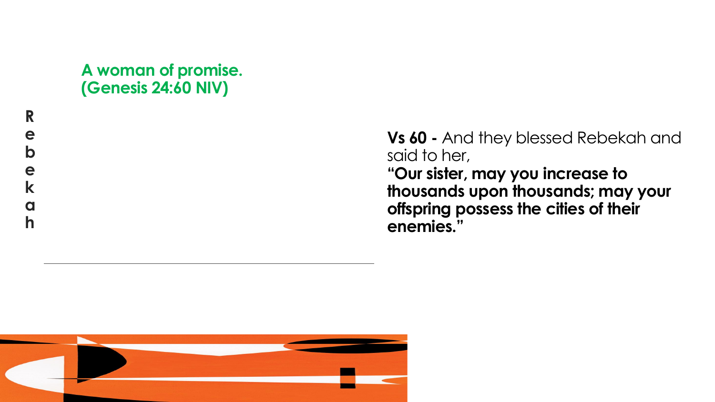## **A woman of promise. (Genesis 24:60 NIV)**

**Vs 60 -** And they blessed Rebekah and said to her, **"Our sister, may you increase to thousands upon thousands; may your offspring possess the cities of their enemies."**

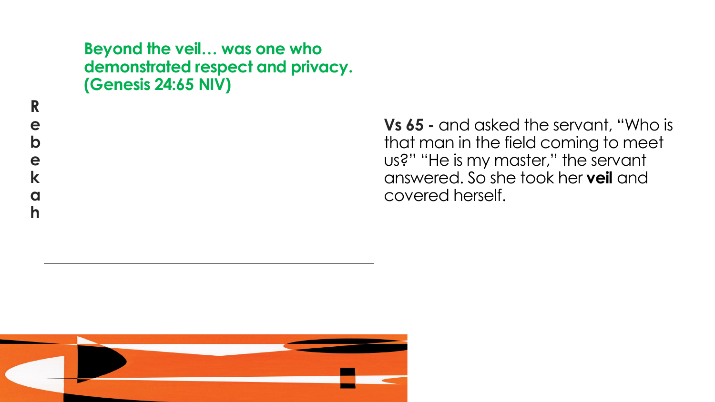#### **Beyond the veil… was one who demonstrated respect and privacy. (Genesis 24:65 NIV)**

**Vs 65 -** and asked the servant, "Who is that man in the field coming to meet us?" "He is my master," the servant answered. So she took her **veil** and covered herself.

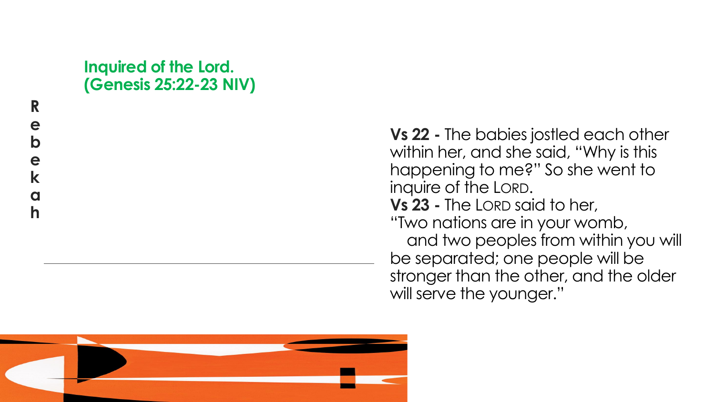## **Inquired of the Lord. (Genesis 25:22 -23 NIV)**

**Vs 22 -** The babies jostled each other within her, and she said, "Why is this happening to me?" So she went to inquire of the LORD . **Vs 23 -** The LORD said to her, "Two nations are in your womb, and two peoples from within you will be separated; one people will be stronger than the other, and the older will serve the younger."

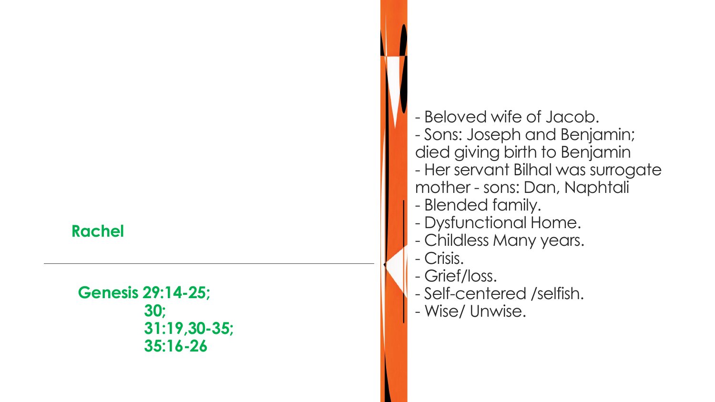**Genesis 29:14 -25; 30; 31:19,30 -35; 35:16 -26**

- Beloved wife of Jacob. - Sons: Joseph and Benjamin; died giving birth to Benjamin - Her servant Bilhal was surrogate mother - sons: Dan, Naphtali - Blended family. - Dysfunctional Home. - Childless Many years. - Crisis. - Grief/loss. - Self-centered /selfish.

- Wise/ Unwise.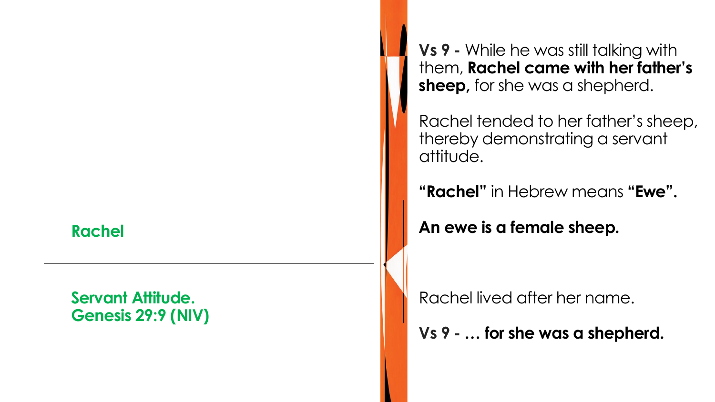#### **Servant Attitude. Genesis 29:9 (NIV)**

**Vs 9 -** While he was still talking with them, **Rachel came with her father's sheep,** for she was a shepherd.

Rachel tended to her father's sheep, thereby demonstrating a servant attitude.

**"Rachel"** in Hebrew means **"Ewe".**

**An ewe is a female sheep.**

Rachel lived after her name.

**Vs 9 - … for she was a shepherd.**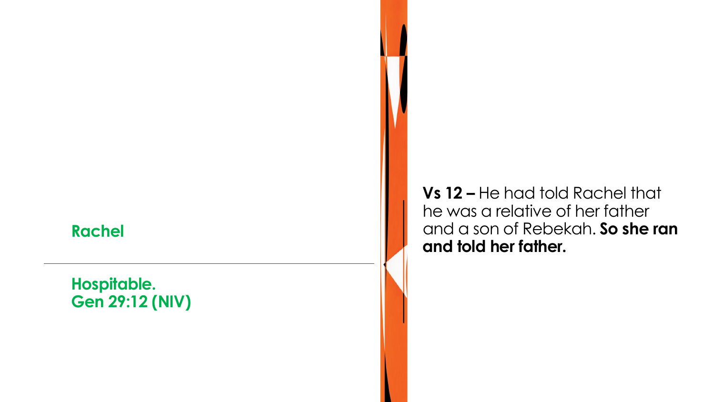## **Hospitable. Gen 29:12 (NIV)**

**Vs 12 –** He had told Rachel that he was a relative of her father and a son of Rebekah. **So she ran and told her father.**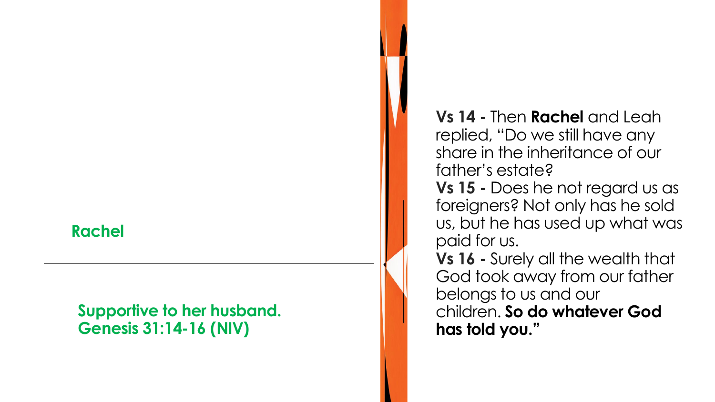#### **Supportive to her husband. Genesis 31:14 -16 (NIV)**

**Vs 14 -** Then **Rachel** and Leah replied, "Do we still have any share in the inheritance of our father's estate? **Vs 15 -** Does he not regard us as foreigners? Not only has he sold us, but he has used up what was paid for us. **Vs 16 -** Surely all the wealth that God took away from our father belongs to us and our

children. **So do whatever God has told you."**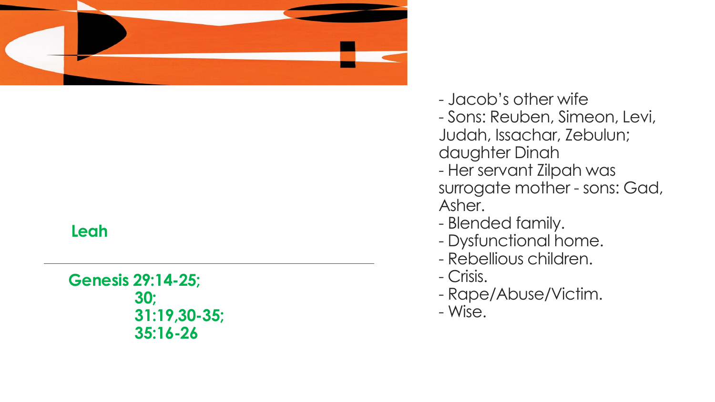

#### **Leah**

**Genesis 29:14 -25; 30; 31:19,30 -35; 35:16 -26**

- Jacob's other wife
- Sons: Reuben, Simeon, Levi,

Judah, Issachar, Zebulun; daughter Dinah

- Her servant Zilpah was surrogate mother - sons: Gad, Asher.
- Blended family.
- Dysfunctional home.
- Rebellious children. Crisis.
- 
- Rape/Abuse/Victim.
- Wise.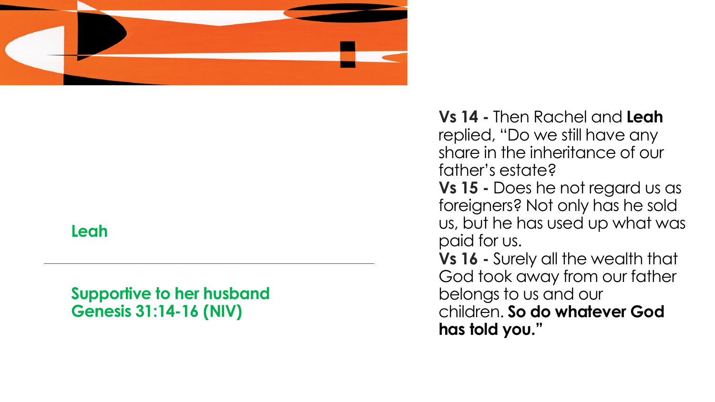

#### **Leah**

**Supportive to her husband Genesis 31:14 -16 (NIV)** 

**Vs 14 -** Then Rachel and **Leah** replied, "Do we still have any share in the inheritance of our father's estate? **Vs 15 -** Does he not regard us as foreigners? Not only has he sold us, but he has used up what was paid for us. **Vs 16 -** Surely all the wealth that God took away from our father belongs to us and our children. **So do whatever God has told you."**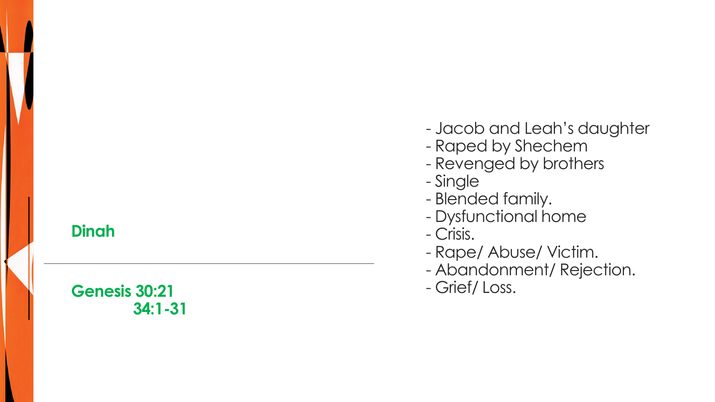#### **Dinah**

## **Genesis 30:21 34:1 -31**

- Jacob and Leah's daughter
- Raped by Shechem
- Revenged by brothers
- Single
- Blended family.
- Dysfunctional home
- Crisis.
- Rape/ Abuse/ Victim.
- Abandonment/ Rejection.
- Grief/ Loss.